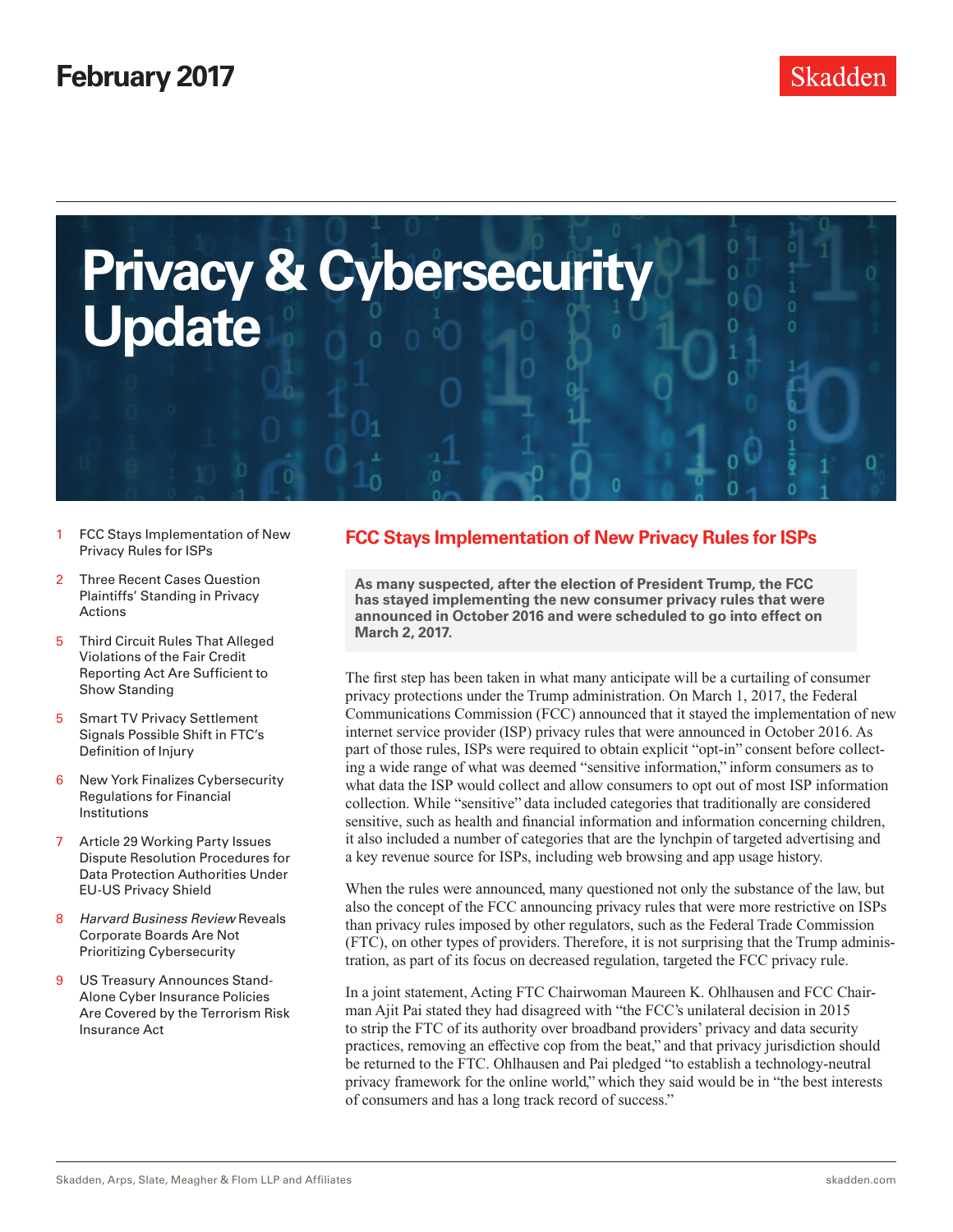<span id="page-0-0"></span>

- 1 FCC Stavs Implementation of New Privacy Rules for ISPs
- 2 [Three Recent Cases Question](#page-1-0)  [Plaintiffs' Standing in Privacy](#page-1-0)  [Actions](#page-1-0)
- 5 [Third Circuit Rules That Alleged](#page-4-0)  [Violations of the Fair Credit](#page-4-0)  [Reporting Act Are Sufficient to](#page-4-0)  [Show Standing](#page-4-0)
- 5 [Smart TV Privacy Settlement](#page-4-0)  [Signals Possible Shift in FTC's](#page-4-0)  [Definition of Injury](#page-4-0)
- 6 [New York Finalizes Cybersecurity](#page-5-0)  [Regulations for Financial](#page-5-0)  [Institutions](#page-5-0)
- 7 [Article 29 Working Party Issues](#page-6-0)  [Dispute Resolution Procedures for](#page-6-0)  [Data Protection Authorities Under](#page-6-0)  [EU-US Privacy Shield](#page-6-0)
- 8 *[Harvard Business Review](#page-7-0)* Reveals [Corporate Boards Are Not](#page-7-0)  [Prioritizing Cybersecurity](#page-7-0)
- 9 [US Treasury Announces Stand-](#page-8-0)[Alone Cyber Insurance Policies](#page-8-0)  [Are Covered by the Terrorism Risk](#page-8-0)  [Insurance Act](#page-8-0)

# **FCC Stays Implementation of New Privacy Rules for ISPs**

**As many suspected, after the election of President Trump, the FCC has stayed implementing the new consumer privacy rules that were announced in October 2016 and were scheduled to go into effect on March 2, 2017.**

The first step has been taken in what many anticipate will be a curtailing of consumer privacy protections under the Trump administration. On March 1, 2017, the Federal Communications Commission (FCC) announced that it stayed the implementation of new internet service provider (ISP) privacy rules that were announced in October 2016. As part of those rules, ISPs were required to obtain explicit "opt-in" consent before collecting a wide range of what was deemed "sensitive information," inform consumers as to what data the ISP would collect and allow consumers to opt out of most ISP information collection. While "sensitive" data included categories that traditionally are considered sensitive, such as health and financial information and information concerning children, it also included a number of categories that are the lynchpin of targeted advertising and a key revenue source for ISPs, including web browsing and app usage history.

When the rules were announced, many questioned not only the substance of the law, but also the concept of the FCC announcing privacy rules that were more restrictive on ISPs than privacy rules imposed by other regulators, such as the Federal Trade Commission (FTC), on other types of providers. Therefore, it is not surprising that the Trump administration, as part of its focus on decreased regulation, targeted the FCC privacy rule.

In a joint statement, Acting FTC Chairwoman Maureen K. Ohlhausen and FCC Chairman Ajit Pai stated they had disagreed with "the FCC's unilateral decision in 2015 to strip the FTC of its authority over broadband providers' privacy and data security practices, removing an effective cop from the beat," and that privacy jurisdiction should be returned to the FTC. Ohlhausen and Pai pledged "to establish a technology-neutral privacy framework for the online world," which they said would be in "the best interests of consumers and has a long track record of success."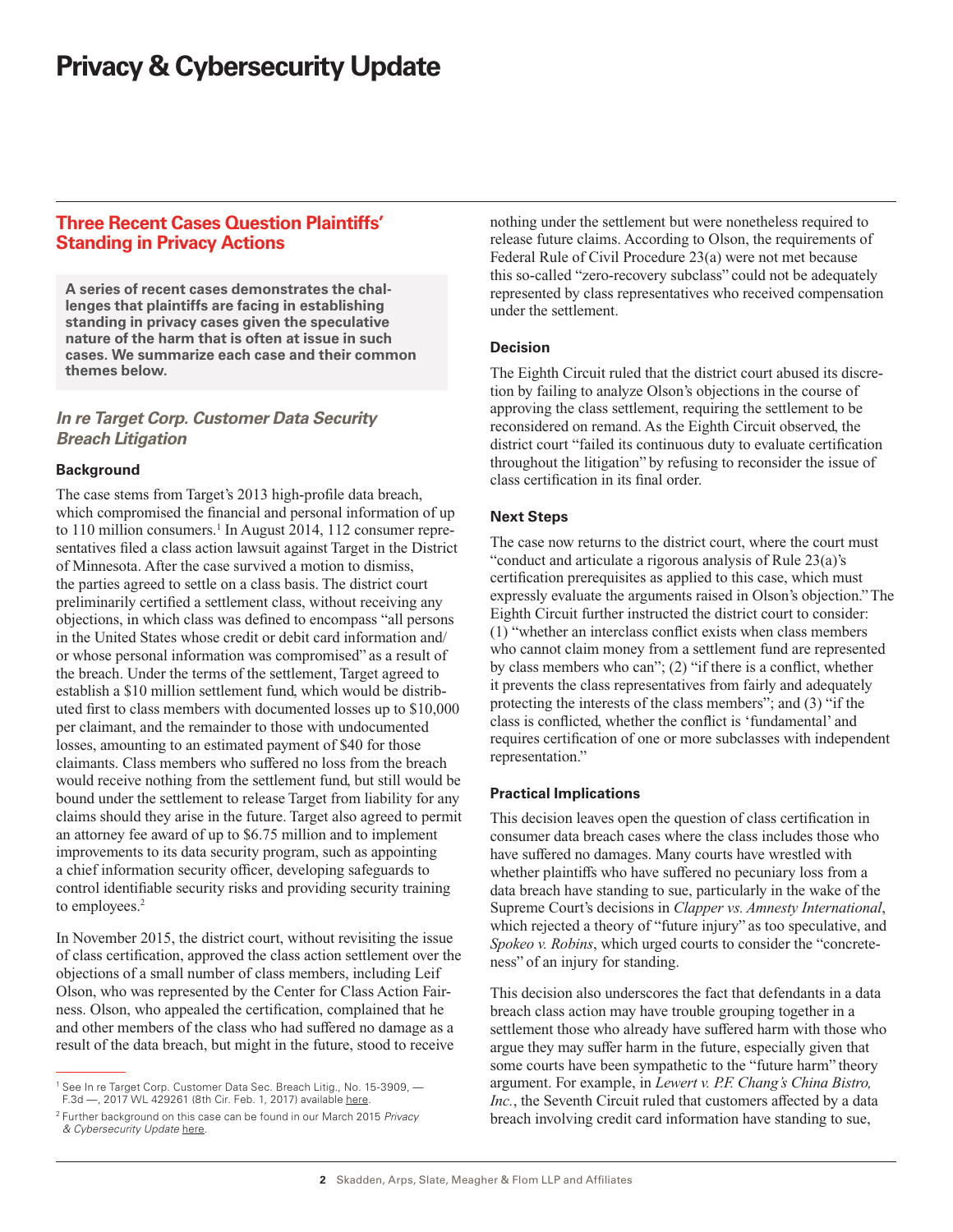# <span id="page-1-0"></span>**Three Recent Cases Question Plaintiffs' Standing in Privacy Actions**

**A series of recent cases demonstrates the challenges that plaintiffs are facing in establishing standing in privacy cases given the speculative nature of the harm that is often at issue in such cases. We summarize each case and their common themes below.**

# *In re Target Corp. Customer Data Security Breach Litigation*

### **Background**

The case stems from Target's 2013 high-profile data breach, which compromised the financial and personal information of up to 110 million consumers.<sup>1</sup> In August 2014, 112 consumer representatives filed a class action lawsuit against Target in the District of Minnesota. After the case survived a motion to dismiss, the parties agreed to settle on a class basis. The district court preliminarily certified a settlement class, without receiving any objections, in which class was defined to encompass "all persons in the United States whose credit or debit card information and/ or whose personal information was compromised" as a result of the breach. Under the terms of the settlement, Target agreed to establish a \$10 million settlement fund, which would be distributed first to class members with documented losses up to \$10,000 per claimant, and the remainder to those with undocumented losses, amounting to an estimated payment of \$40 for those claimants. Class members who suffered no loss from the breach would receive nothing from the settlement fund, but still would be bound under the settlement to release Target from liability for any claims should they arise in the future. Target also agreed to permit an attorney fee award of up to \$6.75 million and to implement improvements to its data security program, such as appointing a chief information security officer, developing safeguards to control identifiable security risks and providing security training to employees.<sup>2</sup>

In November 2015, the district court, without revisiting the issue of class certification, approved the class action settlement over the objections of a small number of class members, including Leif Olson, who was represented by the Center for Class Action Fairness. Olson, who appealed the certification, complained that he and other members of the class who had suffered no damage as a result of the data breach, but might in the future, stood to receive

nothing under the settlement but were nonetheless required to release future claims. According to Olson, the requirements of Federal Rule of Civil Procedure 23(a) were not met because this so-called "zero-recovery subclass" could not be adequately represented by class representatives who received compensation under the settlement.

### **Decision**

The Eighth Circuit ruled that the district court abused its discretion by failing to analyze Olson's objections in the course of approving the class settlement, requiring the settlement to be reconsidered on remand. As the Eighth Circuit observed, the district court "failed its continuous duty to evaluate certification throughout the litigation" by refusing to reconsider the issue of class certification in its final order.

## **Next Steps**

The case now returns to the district court, where the court must "conduct and articulate a rigorous analysis of Rule 23(a)'s certification prerequisites as applied to this case, which must expressly evaluate the arguments raised in Olson's objection." The Eighth Circuit further instructed the district court to consider: (1) "whether an interclass conflict exists when class members who cannot claim money from a settlement fund are represented by class members who can"; (2) "if there is a conflict, whether it prevents the class representatives from fairly and adequately protecting the interests of the class members"; and (3) "if the class is conflicted, whether the conflict is 'fundamental' and requires certification of one or more subclasses with independent representation."

## **Practical Implications**

This decision leaves open the question of class certification in consumer data breach cases where the class includes those who have suffered no damages. Many courts have wrestled with whether plaintiffs who have suffered no pecuniary loss from a data breach have standing to sue, particularly in the wake of the Supreme Court's decisions in *Clapper vs. Amnesty International*, which rejected a theory of "future injury" as too speculative, and *Spokeo v. Robins*, which urged courts to consider the "concreteness" of an injury for standing.

This decision also underscores the fact that defendants in a data breach class action may have trouble grouping together in a settlement those who already have suffered harm with those who argue they may suffer harm in the future, especially given that some courts have been sympathetic to the "future harm" theory argument. For example, in *Lewert v. P.F. Chang's China Bistro, Inc.*, the Seventh Circuit ruled that customers affected by a data breach involving credit card information have standing to sue,

<sup>&</sup>lt;sup>1</sup> See In re Target Corp. Customer Data Sec. Breach Litig., No. 15-3909, -F.3d —, 2017 WL 429261 (8th Cir. Feb. 1, 2017) available [here.](media.ca8.uscourts.gov/opndir/17/02/153909P.pdf)

<sup>2</sup> Further background on this case can be found in our March 2015 *Privacy & Cybersecurity Update* [here](https://www.skadden.com/evites/Privacy_and_Cybersecurity_Update_033115.pdf).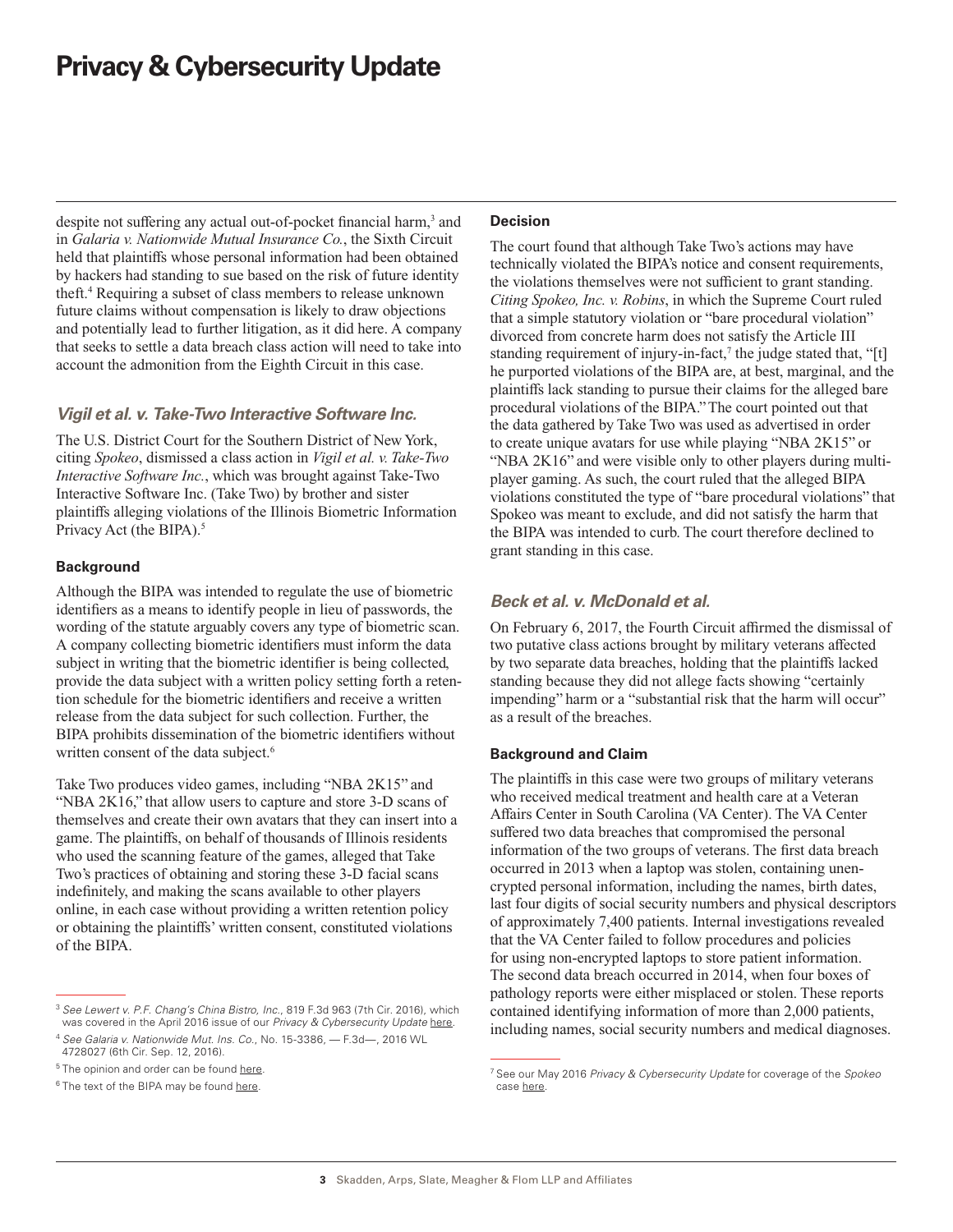despite not suffering any actual out-of-pocket financial harm,<sup>3</sup> and in *Galaria v. Nationwide Mutual Insurance Co.*, the Sixth Circuit held that plaintiffs whose personal information had been obtained by hackers had standing to sue based on the risk of future identity theft.4 Requiring a subset of class members to release unknown future claims without compensation is likely to draw objections and potentially lead to further litigation, as it did here. A company that seeks to settle a data breach class action will need to take into account the admonition from the Eighth Circuit in this case.

## *Vigil et al. v. Take-Two Interactive Software Inc.*

The U.S. District Court for the Southern District of New York, citing *Spokeo*, dismissed a class action in *Vigil et al. v. Take-Two Interactive Software Inc.*, which was brought against Take-Two Interactive Software Inc. (Take Two) by brother and sister plaintiffs alleging violations of the Illinois Biometric Information Privacy Act (the BIPA).<sup>5</sup>

## **Background**

Although the BIPA was intended to regulate the use of biometric identifiers as a means to identify people in lieu of passwords, the wording of the statute arguably covers any type of biometric scan. A company collecting biometric identifiers must inform the data subject in writing that the biometric identifier is being collected, provide the data subject with a written policy setting forth a retention schedule for the biometric identifiers and receive a written release from the data subject for such collection. Further, the BIPA prohibits dissemination of the biometric identifiers without written consent of the data subject.<sup>6</sup>

Take Two produces video games, including "NBA 2K15" and "NBA 2K16," that allow users to capture and store 3-D scans of themselves and create their own avatars that they can insert into a game. The plaintiffs, on behalf of thousands of Illinois residents who used the scanning feature of the games, alleged that Take Two's practices of obtaining and storing these 3-D facial scans indefinitely, and making the scans available to other players online, in each case without providing a written retention policy or obtaining the plaintiffs' written consent, constituted violations of the BIPA.

### **Decision**

The court found that although Take Two's actions may have technically violated the BIPA's notice and consent requirements, the violations themselves were not sufficient to grant standing. *Citing Spokeo, Inc. v. Robins*, in which the Supreme Court ruled that a simple statutory violation or "bare procedural violation" divorced from concrete harm does not satisfy the Article III standing requirement of injury-in-fact,<sup>7</sup> the judge stated that, "[t] he purported violations of the BIPA are, at best, marginal, and the plaintiffs lack standing to pursue their claims for the alleged bare procedural violations of the BIPA." The court pointed out that the data gathered by Take Two was used as advertised in order to create unique avatars for use while playing "NBA 2K15" or "NBA 2K16" and were visible only to other players during multiplayer gaming. As such, the court ruled that the alleged BIPA violations constituted the type of "bare procedural violations" that Spokeo was meant to exclude, and did not satisfy the harm that the BIPA was intended to curb. The court therefore declined to grant standing in this case.

## *Beck et al. v. McDonald et al.*

On February 6, 2017, the Fourth Circuit affirmed the dismissal of two putative class actions brought by military veterans affected by two separate data breaches, holding that the plaintiffs lacked standing because they did not allege facts showing "certainly impending" harm or a "substantial risk that the harm will occur" as a result of the breaches.

### **Background and Claim**

The plaintiffs in this case were two groups of military veterans who received medical treatment and health care at a Veteran Affairs Center in South Carolina (VA Center). The VA Center suffered two data breaches that compromised the personal information of the two groups of veterans. The first data breach occurred in 2013 when a laptop was stolen, containing unencrypted personal information, including the names, birth dates, last four digits of social security numbers and physical descriptors of approximately 7,400 patients. Internal investigations revealed that the VA Center failed to follow procedures and policies for using non-encrypted laptops to store patient information. The second data breach occurred in 2014, when four boxes of pathology reports were either misplaced or stolen. These reports contained identifying information of more than 2,000 patients, including names, social security numbers and medical diagnoses.

<sup>3</sup> *See Lewert v. P.F. Chang's China Bistro, Inc.*, 819 F.3d 963 (7th Cir. 2016), which was covered in the April 2016 issue of our *Privacy & Cybersecurity Update* [here.](https://www.skadden.com/newsletters/Privacy_and_Cybersecurity_Update_April_2016.pdf)

<sup>4</sup> *See Galaria v. Nationwide Mut. Ins. Co.*, No. 15-3386, — F.3d—, 2016 WL 4728027 (6th Cir. Sep. 12, 2016).

<sup>&</sup>lt;sup>5</sup> The opinion and order can be found [here](http://privacyriskreport.com/wp-content/uploads/2017/02/Vigil_v_Take_Two.pdf).

<sup>&</sup>lt;sup>6</sup> The text of the BIPA may be found [here.](http://www.ilga.gov/legislation/ilcs/ilcs3.asp?ActID=3004&ChapterID=57)

<sup>7</sup> See our May 2016 *Privacy & Cybersecurity Update* for coverage of the *Spokeo* case [here.](https://www.skadden.com/newsletters/Privacy_and_Cybersecurity_Update_May_2016.pdf)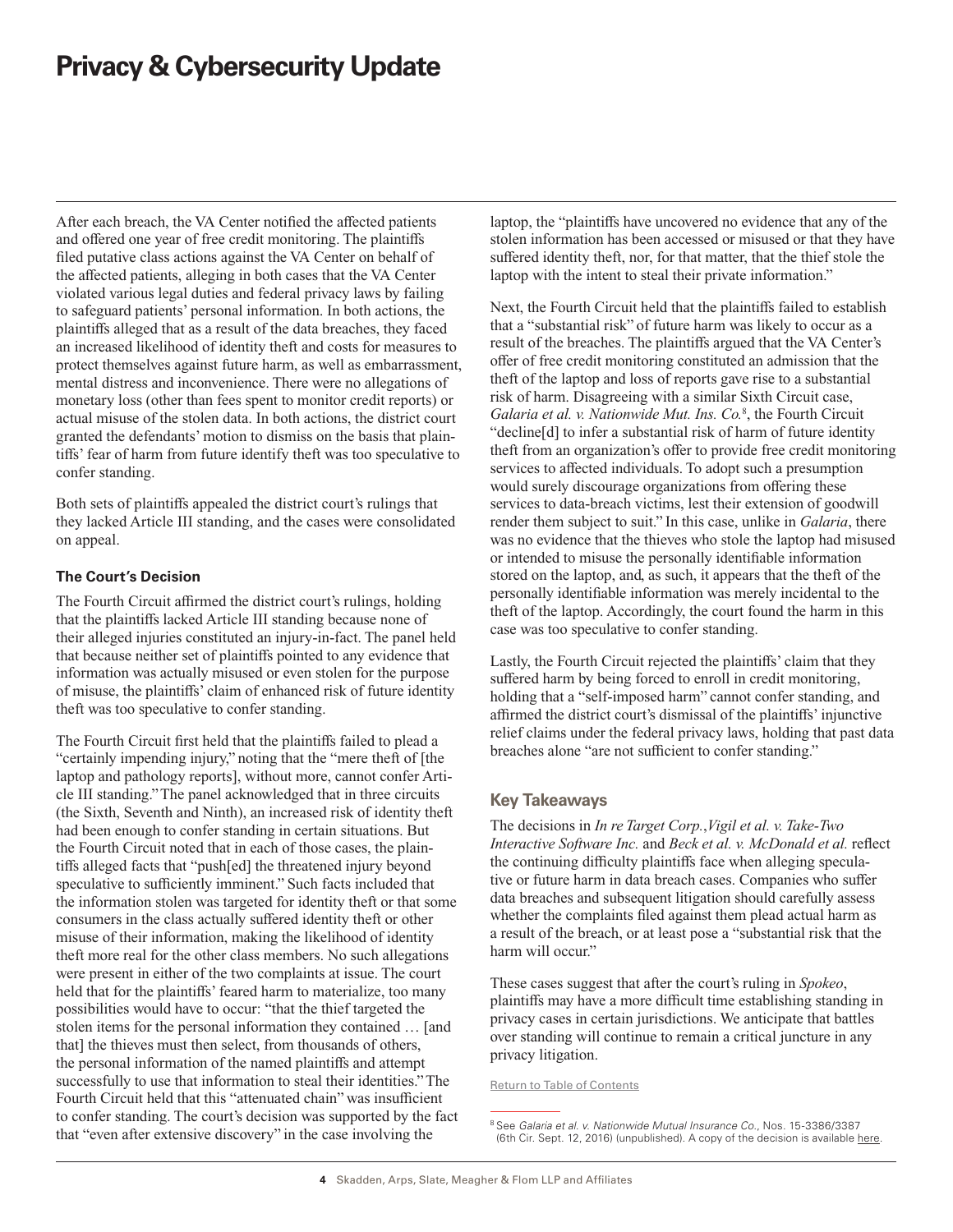After each breach, the VA Center notified the affected patients and offered one year of free credit monitoring. The plaintiffs filed putative class actions against the VA Center on behalf of the affected patients, alleging in both cases that the VA Center violated various legal duties and federal privacy laws by failing to safeguard patients' personal information. In both actions, the plaintiffs alleged that as a result of the data breaches, they faced an increased likelihood of identity theft and costs for measures to protect themselves against future harm, as well as embarrassment, mental distress and inconvenience. There were no allegations of monetary loss (other than fees spent to monitor credit reports) or actual misuse of the stolen data. In both actions, the district court granted the defendants' motion to dismiss on the basis that plaintiffs' fear of harm from future identify theft was too speculative to confer standing.

Both sets of plaintiffs appealed the district court's rulings that they lacked Article III standing, and the cases were consolidated on appeal.

## **The Court's Decision**

The Fourth Circuit affirmed the district court's rulings, holding that the plaintiffs lacked Article III standing because none of their alleged injuries constituted an injury-in-fact. The panel held that because neither set of plaintiffs pointed to any evidence that information was actually misused or even stolen for the purpose of misuse, the plaintiffs' claim of enhanced risk of future identity theft was too speculative to confer standing.

The Fourth Circuit first held that the plaintiffs failed to plead a "certainly impending injury," noting that the "mere theft of [the laptop and pathology reports], without more, cannot confer Article III standing." The panel acknowledged that in three circuits (the Sixth, Seventh and Ninth), an increased risk of identity theft had been enough to confer standing in certain situations. But the Fourth Circuit noted that in each of those cases, the plaintiffs alleged facts that "push[ed] the threatened injury beyond speculative to sufficiently imminent." Such facts included that the information stolen was targeted for identity theft or that some consumers in the class actually suffered identity theft or other misuse of their information, making the likelihood of identity theft more real for the other class members. No such allegations were present in either of the two complaints at issue. The court held that for the plaintiffs' feared harm to materialize, too many possibilities would have to occur: "that the thief targeted the stolen items for the personal information they contained … [and that] the thieves must then select, from thousands of others, the personal information of the named plaintiffs and attempt successfully to use that information to steal their identities." The Fourth Circuit held that this "attenuated chain" was insufficient to confer standing. The court's decision was supported by the fact that "even after extensive discovery" in the case involving the

laptop, the "plaintiffs have uncovered no evidence that any of the stolen information has been accessed or misused or that they have suffered identity theft, nor, for that matter, that the thief stole the laptop with the intent to steal their private information."

Next, the Fourth Circuit held that the plaintiffs failed to establish that a "substantial risk" of future harm was likely to occur as a result of the breaches. The plaintiffs argued that the VA Center's offer of free credit monitoring constituted an admission that the theft of the laptop and loss of reports gave rise to a substantial risk of harm. Disagreeing with a similar Sixth Circuit case, *Galaria et al. v. Nationwide Mut. Ins. Co.*<sup>8</sup> , the Fourth Circuit "decline[d] to infer a substantial risk of harm of future identity theft from an organization's offer to provide free credit monitoring services to affected individuals. To adopt such a presumption would surely discourage organizations from offering these services to data-breach victims, lest their extension of goodwill render them subject to suit." In this case, unlike in *Galaria*, there was no evidence that the thieves who stole the laptop had misused or intended to misuse the personally identifiable information stored on the laptop, and, as such, it appears that the theft of the personally identifiable information was merely incidental to the theft of the laptop. Accordingly, the court found the harm in this case was too speculative to confer standing.

Lastly, the Fourth Circuit rejected the plaintiffs' claim that they suffered harm by being forced to enroll in credit monitoring, holding that a "self-imposed harm" cannot confer standing, and affirmed the district court's dismissal of the plaintiffs' injunctive relief claims under the federal privacy laws, holding that past data breaches alone "are not sufficient to confer standing."

## **Key Takeaways**

The decisions in *In re Target Corp.*,*Vigil et al. v. Take-Two Interactive Software Inc.* and *Beck et al. v. McDonald et al.* reflect the continuing difficulty plaintiffs face when alleging speculative or future harm in data breach cases. Companies who suffer data breaches and subsequent litigation should carefully assess whether the complaints filed against them plead actual harm as a result of the breach, or at least pose a "substantial risk that the harm will occur."

These cases suggest that after the court's ruling in *Spokeo*, plaintiffs may have a more difficult time establishing standing in privacy cases in certain jurisdictions. We anticipate that battles over standing will continue to remain a critical juncture in any privacy litigation.

[Return to Table of Contents](#page-0-0)

<sup>8</sup> See *Galaria et al. v. Nationwide Mutual Insurance Co.*, Nos. 15-3386/3387 (6th Cir. Sept. 12, 2016) (unpublished). A copy of the decision is available [here](http://www.opn.ca6.uscourts.gov/opinions.pdf/16a0526n-06.pdf).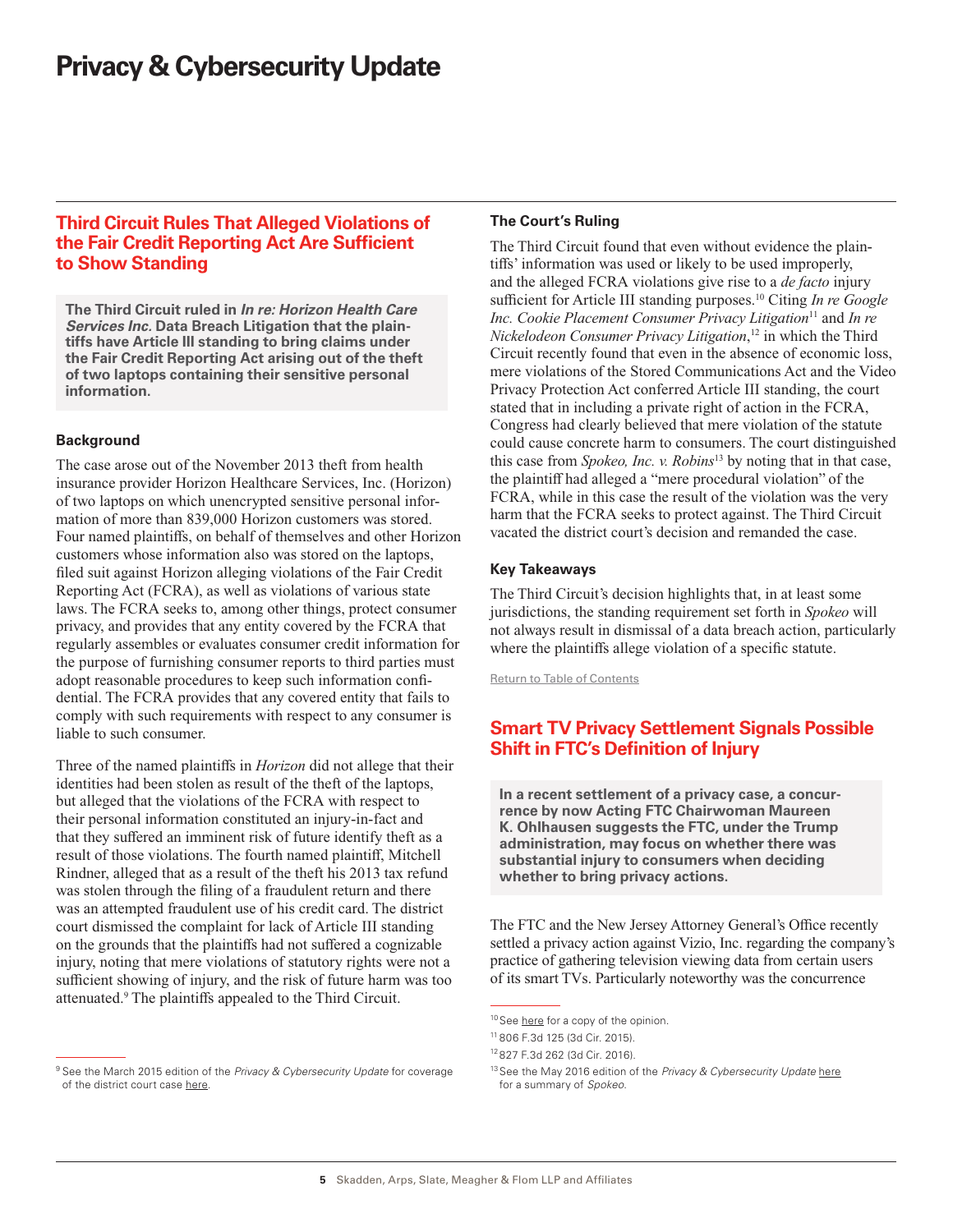# <span id="page-4-0"></span>**Third Circuit Rules That Alleged Violations of the Fair Credit Reporting Act Are Sufficient to Show Standing**

**The Third Circuit ruled in** *In re: Horizon Health Care Services Inc.* **Data Breach Litigation that the plaintiffs have Article III standing to bring claims under the Fair Credit Reporting Act arising out of the theft of two laptops containing their sensitive personal information.**

## **Background**

The case arose out of the November 2013 theft from health insurance provider Horizon Healthcare Services, Inc. (Horizon) of two laptops on which unencrypted sensitive personal information of more than 839,000 Horizon customers was stored. Four named plaintiffs, on behalf of themselves and other Horizon customers whose information also was stored on the laptops, filed suit against Horizon alleging violations of the Fair Credit Reporting Act (FCRA), as well as violations of various state laws. The FCRA seeks to, among other things, protect consumer privacy, and provides that any entity covered by the FCRA that regularly assembles or evaluates consumer credit information for the purpose of furnishing consumer reports to third parties must adopt reasonable procedures to keep such information confidential. The FCRA provides that any covered entity that fails to comply with such requirements with respect to any consumer is liable to such consumer.

Three of the named plaintiffs in *Horizon* did not allege that their identities had been stolen as result of the theft of the laptops, but alleged that the violations of the FCRA with respect to their personal information constituted an injury-in-fact and that they suffered an imminent risk of future identify theft as a result of those violations. The fourth named plaintiff, Mitchell Rindner, alleged that as a result of the theft his 2013 tax refund was stolen through the filing of a fraudulent return and there was an attempted fraudulent use of his credit card. The district court dismissed the complaint for lack of Article III standing on the grounds that the plaintiffs had not suffered a cognizable injury, noting that mere violations of statutory rights were not a sufficient showing of injury, and the risk of future harm was too attenuated.9 The plaintiffs appealed to the Third Circuit.

#### <sup>9</sup> See the March 2015 edition of the *Privacy & Cybersecurity Update* for coverage of the district court case [here.](https://www.skadden.com/evites/Privacy_and_Cybersecurity_Update_033115.pdf)

### **The Court's Ruling**

The Third Circuit found that even without evidence the plaintiffs' information was used or likely to be used improperly, and the alleged FCRA violations give rise to a *de facto* injury sufficient for Article III standing purposes.10 Citing *In re Google Inc. Cookie Placement Consumer Privacy Litigation*<sup>11</sup> and *In re Nickelodeon Consumer Privacy Litigation*, 12 in which the Third Circuit recently found that even in the absence of economic loss, mere violations of the Stored Communications Act and the Video Privacy Protection Act conferred Article III standing, the court stated that in including a private right of action in the FCRA, Congress had clearly believed that mere violation of the statute could cause concrete harm to consumers. The court distinguished this case from *Spokeo, Inc. v. Robins*<sup>13</sup> by noting that in that case, the plaintiff had alleged a "mere procedural violation" of the FCRA, while in this case the result of the violation was the very harm that the FCRA seeks to protect against. The Third Circuit vacated the district court's decision and remanded the case.

### **Key Takeaways**

The Third Circuit's decision highlights that, in at least some jurisdictions, the standing requirement set forth in *Spokeo* will not always result in dismissal of a data breach action, particularly where the plaintiffs allege violation of a specific statute.

[Return to Table of Contents](#page-0-0)

# **Smart TV Privacy Settlement Signals Possible Shift in FTC's Definition of Injury**

**In a recent settlement of a privacy case, a concurrence by now Acting FTC Chairwoman Maureen K. Ohlhausen suggests the FTC, under the Trump administration, may focus on whether there was substantial injury to consumers when deciding whether to bring privacy actions.**

The FTC and the New Jersey Attorney General's Office recently settled a privacy action against Vizio, Inc. regarding the company's practice of gathering television viewing data from certain users of its smart TVs. Particularly noteworthy was the concurrence

<sup>&</sup>lt;sup>10</sup>See [here](http://www2.ca3.uscourts.gov/opinarch/152309p.pdf) for a copy of the opinion.

<sup>11</sup> 806 F.3d 125 (3d Cir. 2015).

<sup>12</sup> 827 F.3d 262 (3d Cir. 2016).

<sup>13</sup>See the May 2016 edition of the *Privacy & Cybersecurity Update* [here](https://www.skadden.com/newsletters/Privacy_and_Cybersecurity_Update_May_2016.pdf) for a summary of *Spokeo*.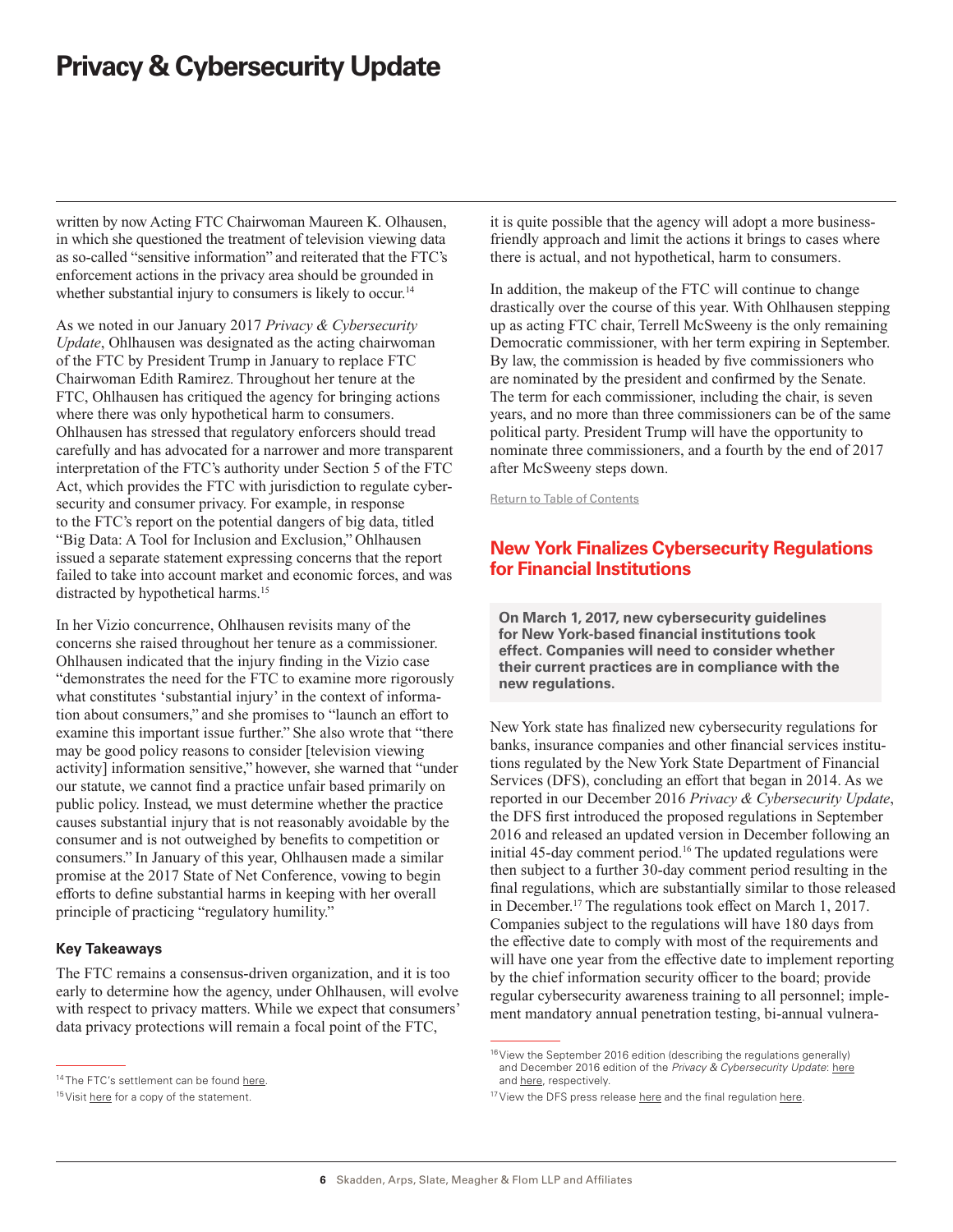<span id="page-5-0"></span>written by now Acting FTC Chairwoman Maureen K. Olhausen, in which she questioned the treatment of television viewing data as so-called "sensitive information" and reiterated that the FTC's enforcement actions in the privacy area should be grounded in whether substantial injury to consumers is likely to occur.<sup>14</sup>

As we noted in our January 2017 *Privacy & Cybersecurity Update*, Ohlhausen was designated as the acting chairwoman of the FTC by President Trump in January to replace FTC Chairwoman Edith Ramirez. Throughout her tenure at the FTC, Ohlhausen has critiqued the agency for bringing actions where there was only hypothetical harm to consumers. Ohlhausen has stressed that regulatory enforcers should tread carefully and has advocated for a narrower and more transparent interpretation of the FTC's authority under Section 5 of the FTC Act, which provides the FTC with jurisdiction to regulate cybersecurity and consumer privacy. For example, in response to the FTC's report on the potential dangers of big data, titled "Big Data: A Tool for Inclusion and Exclusion," Ohlhausen issued a separate statement expressing concerns that the report failed to take into account market and economic forces, and was distracted by hypothetical harms.<sup>15</sup>

In her Vizio concurrence, Ohlhausen revisits many of the concerns she raised throughout her tenure as a commissioner. Ohlhausen indicated that the injury finding in the Vizio case "demonstrates the need for the FTC to examine more rigorously what constitutes 'substantial injury' in the context of information about consumers," and she promises to "launch an effort to examine this important issue further." She also wrote that "there may be good policy reasons to consider [television viewing activity] information sensitive," however, she warned that "under our statute, we cannot find a practice unfair based primarily on public policy. Instead, we must determine whether the practice causes substantial injury that is not reasonably avoidable by the consumer and is not outweighed by benefits to competition or consumers." In January of this year, Ohlhausen made a similar promise at the 2017 State of Net Conference, vowing to begin efforts to define substantial harms in keeping with her overall principle of practicing "regulatory humility."

## **Key Takeaways**

The FTC remains a consensus-driven organization, and it is too early to determine how the agency, under Ohlhausen, will evolve with respect to privacy matters. While we expect that consumers' data privacy protections will remain a focal point of the FTC,

it is quite possible that the agency will adopt a more businessfriendly approach and limit the actions it brings to cases where there is actual, and not hypothetical, harm to consumers.

In addition, the makeup of the FTC will continue to change drastically over the course of this year. With Ohlhausen stepping up as acting FTC chair, Terrell McSweeny is the only remaining Democratic commissioner, with her term expiring in September. By law, the commission is headed by five commissioners who are nominated by the president and confirmed by the Senate. The term for each commissioner, including the chair, is seven years, and no more than three commissioners can be of the same political party. President Trump will have the opportunity to nominate three commissioners, and a fourth by the end of 2017 after McSweeny steps down.

[Return to Table of Contents](#page-0-0)

# **New York Finalizes Cybersecurity Regulations for Financial Institutions**

**On March 1, 2017, new cybersecurity guidelines for New York-based financial institutions took effect. Companies will need to consider whether their current practices are in compliance with the new regulations.**

New York state has finalized new cybersecurity regulations for banks, insurance companies and other financial services institutions regulated by the New York State Department of Financial Services (DFS), concluding an effort that began in 2014. As we reported in our December 2016 *Privacy & Cybersecurity Update*, the DFS first introduced the proposed regulations in September 2016 and released an updated version in December following an initial 45-day comment period.<sup>16</sup> The updated regulations were then subject to a further 30-day comment period resulting in the final regulations, which are substantially similar to those released in December.17 The regulations took effect on March 1, 2017. Companies subject to the regulations will have 180 days from the effective date to comply with most of the requirements and will have one year from the effective date to implement reporting by the chief information security officer to the board; provide regular cybersecurity awareness training to all personnel; implement mandatory annual penetration testing, bi-annual vulnera-

<sup>&</sup>lt;sup>14</sup> The FTC's settlement can be found [here](https://www.ftc.gov/news-events/press-releases/2017/02/vizio-pay-22-million-ftc-state-new-jersey-settle-charges-it,and the Olhausen concurrence at  https:/www.ftc.gov/system/files/documents/public_statements/1070773/vizio_concurring_statement_of_chairman_ohlhausen_2-6-17.pdf).

<sup>15</sup> Visit [here](https://www.ftc.gov/public-statements/2016/01/separate-statement-commissioner-maureen-k-ohlhausen-big-data-tool) for a copy of the statement.

<sup>16</sup>View the September 2016 edition (describing the regulations generally) and December 2016 edition of the *Privacy & Cybersecurity Update*: [here](https://www.skadden.com/insights/privacy-cybersecurity-update-new-york-state-proposes-cybersecurity-regulation-financial-institutions) and [here,](https://www.skadden.com/insights/privacy-cybersecurity-update-new-york-state-proposes-cybersecurity-regulation-financial-institutions) respectively.

<sup>&</sup>lt;sup>17</sup> View the DFS press release [here](http://www.dfs.ny.gov/about/press/pr1702161.htm) and the final regulation [here.](http://www.dfs.ny.gov/legal/regulations/adoptions/rf23-nycrr-500_cybersecurity.pdf)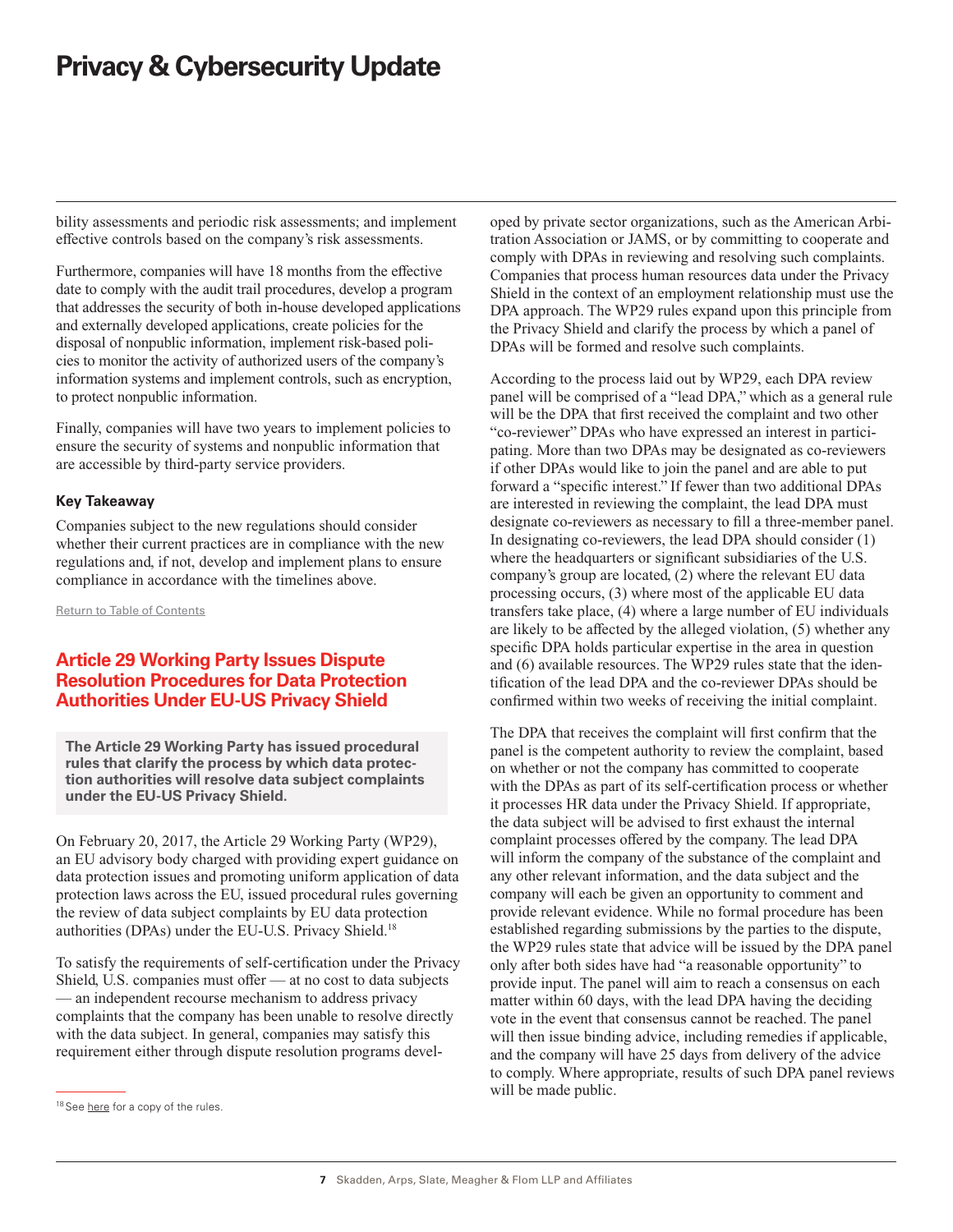<span id="page-6-0"></span>bility assessments and periodic risk assessments; and implement effective controls based on the company's risk assessments.

Furthermore, companies will have 18 months from the effective date to comply with the audit trail procedures, develop a program that addresses the security of both in-house developed applications and externally developed applications, create policies for the disposal of nonpublic information, implement risk-based policies to monitor the activity of authorized users of the company's information systems and implement controls, such as encryption, to protect nonpublic information.

Finally, companies will have two years to implement policies to ensure the security of systems and nonpublic information that are accessible by third-party service providers.

## **Key Takeaway**

Companies subject to the new regulations should consider whether their current practices are in compliance with the new regulations and, if not, develop and implement plans to ensure compliance in accordance with the timelines above.

[Return to Table of Contents](#page-0-0)

# **Article 29 Working Party Issues Dispute Resolution Procedures for Data Protection Authorities Under EU-US Privacy Shield**

**The Article 29 Working Party has issued procedural rules that clarify the process by which data protection authorities will resolve data subject complaints under the EU-US Privacy Shield.**

On February 20, 2017, the Article 29 Working Party (WP29), an EU advisory body charged with providing expert guidance on data protection issues and promoting uniform application of data protection laws across the EU, issued procedural rules governing the review of data subject complaints by EU data protection authorities (DPAs) under the EU-U.S. Privacy Shield.18

To satisfy the requirements of self-certification under the Privacy Shield, U.S. companies must offer — at no cost to data subjects — an independent recourse mechanism to address privacy complaints that the company has been unable to resolve directly with the data subject. In general, companies may satisfy this requirement either through dispute resolution programs developed by private sector organizations, such as the American Arbitration Association or JAMS, or by committing to cooperate and comply with DPAs in reviewing and resolving such complaints. Companies that process human resources data under the Privacy Shield in the context of an employment relationship must use the DPA approach. The WP29 rules expand upon this principle from the Privacy Shield and clarify the process by which a panel of DPAs will be formed and resolve such complaints.

According to the process laid out by WP29, each DPA review panel will be comprised of a "lead DPA," which as a general rule will be the DPA that first received the complaint and two other "co-reviewer" DPAs who have expressed an interest in participating. More than two DPAs may be designated as co-reviewers if other DPAs would like to join the panel and are able to put forward a "specific interest." If fewer than two additional DPAs are interested in reviewing the complaint, the lead DPA must designate co-reviewers as necessary to fill a three-member panel. In designating co-reviewers, the lead DPA should consider (1) where the headquarters or significant subsidiaries of the U.S. company's group are located, (2) where the relevant EU data processing occurs, (3) where most of the applicable EU data transfers take place, (4) where a large number of EU individuals are likely to be affected by the alleged violation, (5) whether any specific DPA holds particular expertise in the area in question and (6) available resources. The WP29 rules state that the identification of the lead DPA and the co-reviewer DPAs should be confirmed within two weeks of receiving the initial complaint.

The DPA that receives the complaint will first confirm that the panel is the competent authority to review the complaint, based on whether or not the company has committed to cooperate with the DPAs as part of its self-certification process or whether it processes HR data under the Privacy Shield. If appropriate, the data subject will be advised to first exhaust the internal complaint processes offered by the company. The lead DPA will inform the company of the substance of the complaint and any other relevant information, and the data subject and the company will each be given an opportunity to comment and provide relevant evidence. While no formal procedure has been established regarding submissions by the parties to the dispute, the WP29 rules state that advice will be issued by the DPA panel only after both sides have had "a reasonable opportunity" to provide input. The panel will aim to reach a consensus on each matter within 60 days, with the lead DPA having the deciding vote in the event that consensus cannot be reached. The panel will then issue binding advice, including remedies if applicable, and the company will have 25 days from delivery of the advice to comply. Where appropriate, results of such DPA panel reviews will be made public.

<sup>&</sup>lt;sup>18</sup> See [here](https://iapp.org/media/pdf/resource_center/Shield_Rules-of-Procedure_informal-DPA-panel.pdf?mkt_tok=eyJpIjoiT0RFeVpEVTBOalpsWXpVdyIsInQiOiI0eXZUYzAzOVZ5ODJ5SlRcL1duYmtheG1KUm9LcGMzZUZYeWZiY2tuMHJHSENKekpFb01iK0lhUGxhdFN1YktudVNTK2k5WXE1Z3BNTW9MTHoyUGUyREhPWXI2UGtJa0VuVkI2bnR3RnI3Vk5xYlZvbXBNSitIbk9rMHhjQlp0K2EifQ%3D%3D) for a copy of the rules.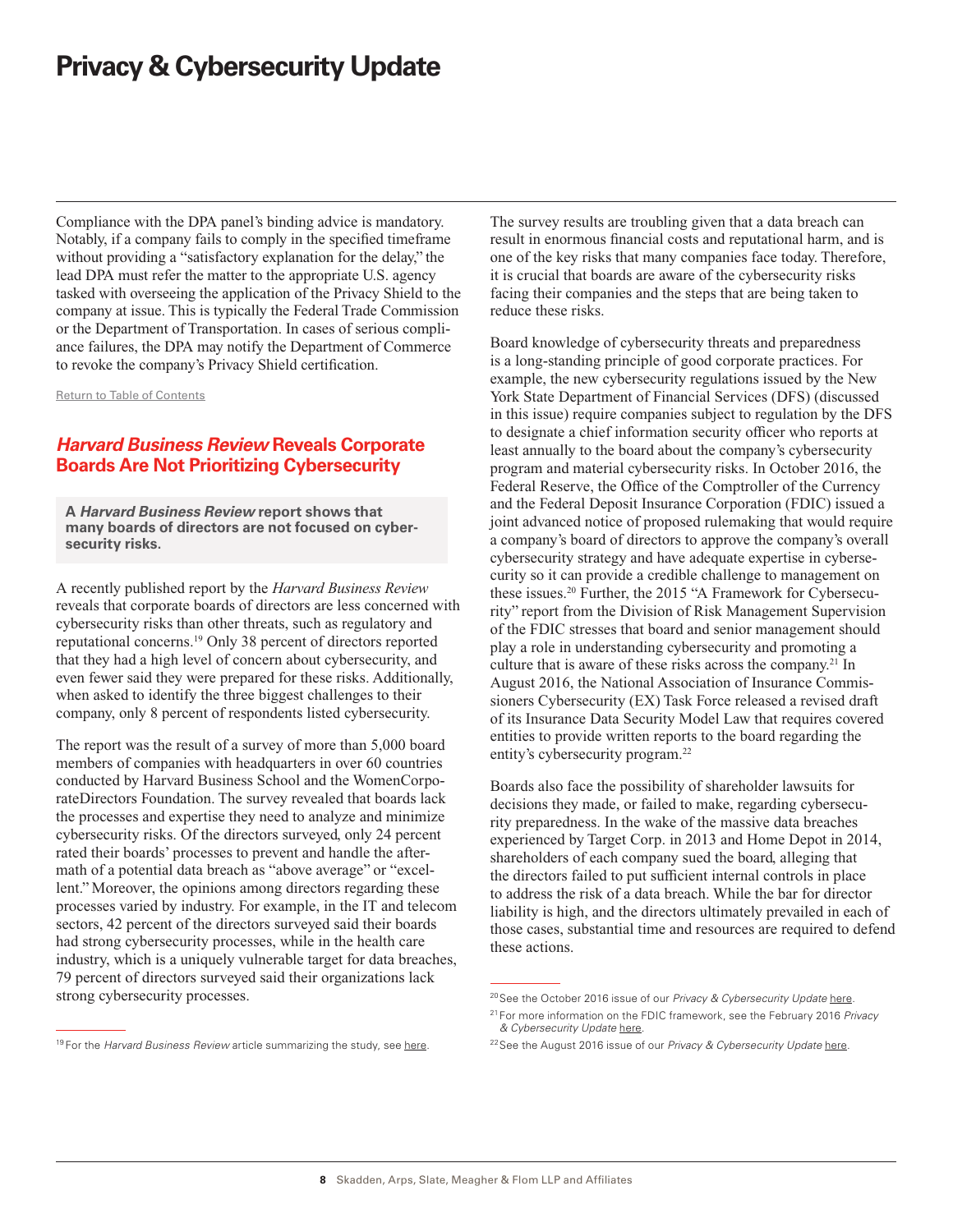<span id="page-7-0"></span>Compliance with the DPA panel's binding advice is mandatory. Notably, if a company fails to comply in the specified timeframe without providing a "satisfactory explanation for the delay," the lead DPA must refer the matter to the appropriate U.S. agency tasked with overseeing the application of the Privacy Shield to the company at issue. This is typically the Federal Trade Commission or the Department of Transportation. In cases of serious compliance failures, the DPA may notify the Department of Commerce to revoke the company's Privacy Shield certification.

[Return to Table of Contents](#page-0-0)

# *Harvard Business Review* **Reveals Corporate Boards Are Not Prioritizing Cybersecurity**

**A** *Harvard Business Review* **report shows that many boards of directors are not focused on cybersecurity risks.**

A recently published report by the *Harvard Business Review* reveals that corporate boards of directors are less concerned with cybersecurity risks than other threats, such as regulatory and reputational concerns.19 Only 38 percent of directors reported that they had a high level of concern about cybersecurity, and even fewer said they were prepared for these risks. Additionally, when asked to identify the three biggest challenges to their company, only 8 percent of respondents listed cybersecurity.

The report was the result of a survey of more than 5,000 board members of companies with headquarters in over 60 countries conducted by Harvard Business School and the WomenCorporateDirectors Foundation. The survey revealed that boards lack the processes and expertise they need to analyze and minimize cybersecurity risks. Of the directors surveyed, only 24 percent rated their boards' processes to prevent and handle the aftermath of a potential data breach as "above average" or "excellent." Moreover, the opinions among directors regarding these processes varied by industry. For example, in the IT and telecom sectors, 42 percent of the directors surveyed said their boards had strong cybersecurity processes, while in the health care industry, which is a uniquely vulnerable target for data breaches, 79 percent of directors surveyed said their organizations lack strong cybersecurity processes.

<sup>19</sup> For the *Harvard Business Review* article summarizing the study, see [here](https://hbr.org/2017/02/why-boards-arent-dealing-with-cyberthreats).

The survey results are troubling given that a data breach can result in enormous financial costs and reputational harm, and is one of the key risks that many companies face today. Therefore, it is crucial that boards are aware of the cybersecurity risks facing their companies and the steps that are being taken to reduce these risks.

Board knowledge of cybersecurity threats and preparedness is a long-standing principle of good corporate practices. For example, the new cybersecurity regulations issued by the New York State Department of Financial Services (DFS) (discussed in this issue) require companies subject to regulation by the DFS to designate a chief information security officer who reports at least annually to the board about the company's cybersecurity program and material cybersecurity risks. In October 2016, the Federal Reserve, the Office of the Comptroller of the Currency and the Federal Deposit Insurance Corporation (FDIC) issued a joint advanced notice of proposed rulemaking that would require a company's board of directors to approve the company's overall cybersecurity strategy and have adequate expertise in cybersecurity so it can provide a credible challenge to management on these issues.<sup>20</sup> Further, the 2015 "A Framework for Cybersecurity" report from the Division of Risk Management Supervision of the FDIC stresses that board and senior management should play a role in understanding cybersecurity and promoting a culture that is aware of these risks across the company.<sup>21</sup> In August 2016, the National Association of Insurance Commissioners Cybersecurity (EX) Task Force released a revised draft of its Insurance Data Security Model Law that requires covered entities to provide written reports to the board regarding the entity's cybersecurity program.<sup>22</sup>

Boards also face the possibility of shareholder lawsuits for decisions they made, or failed to make, regarding cybersecurity preparedness. In the wake of the massive data breaches experienced by Target Corp. in 2013 and Home Depot in 2014, shareholders of each company sued the board, alleging that the directors failed to put sufficient internal controls in place to address the risk of a data breach. While the bar for director liability is high, and the directors ultimately prevailed in each of those cases, substantial time and resources are required to defend these actions.

<sup>20</sup>See the October 2016 issue of our *Privacy & Cybersecurity Update* [here.](https://www.skadden.com/sites/default/files/publications/Privacy_and_Cybersecurity_Update_October_2016.pdf)

<sup>21</sup> For more information on the FDIC framework, see the February 2016 *Privacy & Cybersecurity Update* [here](https://www.skadden.com/sites/default/files/publications/Privacy_and_Cybersecurity_Update_February_2016.pdf).

<sup>22</sup>See the August 2016 issue of our *Privacy & Cybersecurity Update* [here](https://www.skadden.com/sites/default/files/ckeditorfiles/Privacy_and_Cybersecurity_Update_August_2016(1).pdf).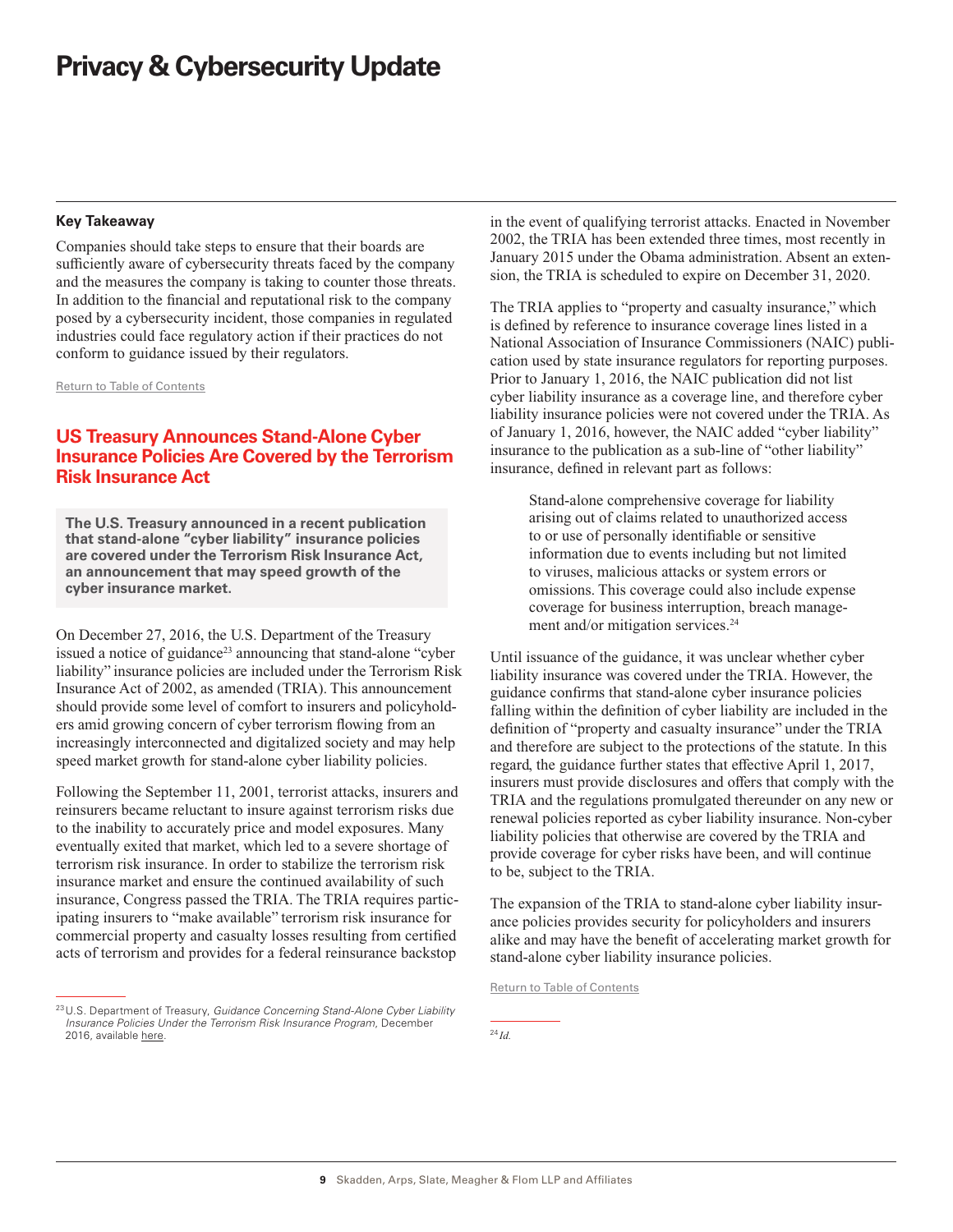### <span id="page-8-0"></span>**Key Takeaway**

Companies should take steps to ensure that their boards are sufficiently aware of cybersecurity threats faced by the company and the measures the company is taking to counter those threats. In addition to the financial and reputational risk to the company posed by a cybersecurity incident, those companies in regulated industries could face regulatory action if their practices do not conform to guidance issued by their regulators.

[Return to Table of Contents](#page-0-0)

# **US Treasury Announces Stand-Alone Cyber Insurance Policies Are Covered by the Terrorism Risk Insurance Act**

**The U.S. Treasury announced in a recent publication that stand-alone "cyber liability" insurance policies are covered under the Terrorism Risk Insurance Act, an announcement that may speed growth of the cyber insurance market.**

On December 27, 2016, the U.S. Department of the Treasury issued a notice of guidance<sup>23</sup> announcing that stand-alone "cyber" liability" insurance policies are included under the Terrorism Risk Insurance Act of 2002, as amended (TRIA). This announcement should provide some level of comfort to insurers and policyholders amid growing concern of cyber terrorism flowing from an increasingly interconnected and digitalized society and may help speed market growth for stand-alone cyber liability policies.

Following the September 11, 2001, terrorist attacks, insurers and reinsurers became reluctant to insure against terrorism risks due to the inability to accurately price and model exposures. Many eventually exited that market, which led to a severe shortage of terrorism risk insurance. In order to stabilize the terrorism risk insurance market and ensure the continued availability of such insurance, Congress passed the TRIA. The TRIA requires participating insurers to "make available" terrorism risk insurance for commercial property and casualty losses resulting from certified acts of terrorism and provides for a federal reinsurance backstop

in the event of qualifying terrorist attacks. Enacted in November 2002, the TRIA has been extended three times, most recently in January 2015 under the Obama administration. Absent an extension, the TRIA is scheduled to expire on December 31, 2020.

The TRIA applies to "property and casualty insurance," which is defined by reference to insurance coverage lines listed in a National Association of Insurance Commissioners (NAIC) publication used by state insurance regulators for reporting purposes. Prior to January 1, 2016, the NAIC publication did not list cyber liability insurance as a coverage line, and therefore cyber liability insurance policies were not covered under the TRIA. As of January 1, 2016, however, the NAIC added "cyber liability" insurance to the publication as a sub-line of "other liability" insurance, defined in relevant part as follows:

Stand-alone comprehensive coverage for liability arising out of claims related to unauthorized access to or use of personally identifiable or sensitive information due to events including but not limited to viruses, malicious attacks or system errors or omissions. This coverage could also include expense coverage for business interruption, breach management and/or mitigation services.<sup>24</sup>

Until issuance of the guidance, it was unclear whether cyber liability insurance was covered under the TRIA. However, the guidance confirms that stand-alone cyber insurance policies falling within the definition of cyber liability are included in the definition of "property and casualty insurance" under the TRIA and therefore are subject to the protections of the statute. In this regard, the guidance further states that effective April 1, 2017, insurers must provide disclosures and offers that comply with the TRIA and the regulations promulgated thereunder on any new or renewal policies reported as cyber liability insurance. Non-cyber liability policies that otherwise are covered by the TRIA and provide coverage for cyber risks have been, and will continue to be, subject to the TRIA.

The expansion of the TRIA to stand-alone cyber liability insurance policies provides security for policyholders and insurers alike and may have the benefit of accelerating market growth for stand-alone cyber liability insurance policies.

[Return to Table of Contents](#page-0-0)

<sup>24</sup> *Id.*

<sup>23</sup>U.S. Department of Treasury, *Guidance Concerning Stand-Alone Cyber Liability Insurance Policies Under the Terrorism Risk Insurance Program*, December 2016, available [here](https://www.federalregister.gov/documents/2016/12/27/2016-31244/guidance-concerning-stand-alone-cyber-liability-insurance-policies-under-the-terrorism-risk).